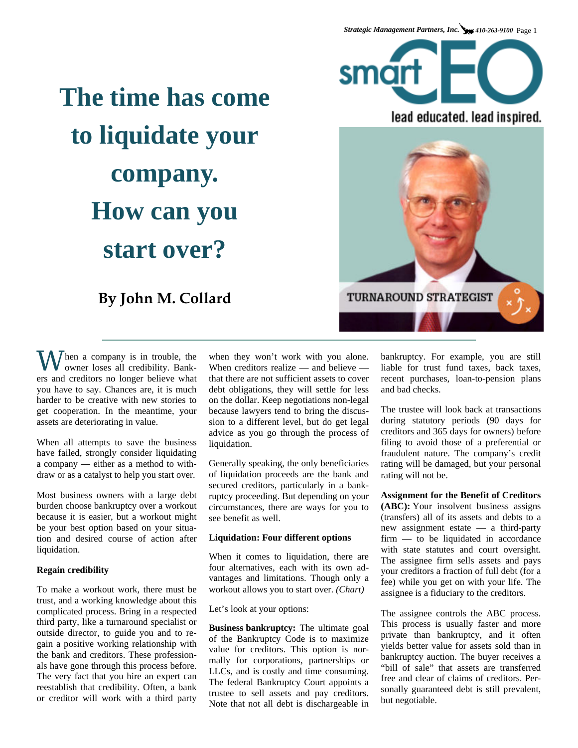## **The time has come to liquidate your company. How can you start over?**

**By John M. Collard** 

 $\bigvee$  hen a company is in trouble, the owner loses all credibility. Bankers and creditors no longer believe what you have to say. Chances are, it is much harder to be creative with new stories to get cooperation. In the meantime, your assets are deteriorating in value.

When all attempts to save the business have failed, strongly consider liquidating a company — either as a method to withdraw or as a catalyst to help you start over.

Most business owners with a large debt burden choose bankruptcy over a workout because it is easier, but a workout might be your best option based on your situation and desired course of action after liquidation.

## **Regain credibility**

To make a workout work, there must be trust, and a working knowledge about this complicated process. Bring in a respected third party, like a turnaround specialist or outside director, to guide you and to regain a positive working relationship with the bank and creditors. These professionals have gone through this process before. The very fact that you hire an expert can reestablish that credibility. Often, a bank or creditor will work with a third party

when they won't work with you alone. When creditors realize — and believe that there are not sufficient assets to cover debt obligations, they will settle for less on the dollar. Keep negotiations non-legal because lawyers tend to bring the discussion to a different level, but do get legal advice as you go through the process of liquidation.

Generally speaking, the only beneficiaries of liquidation proceeds are the bank and secured creditors, particularly in a bankruptcy proceeding. But depending on your circumstances, there are ways for you to see benefit as well.

## **Liquidation: Four different options**

When it comes to liquidation, there are four alternatives, each with its own advantages and limitations. Though only a workout allows you to start over. *(Chart)*

Let's look at your options:

**Business bankruptcy:** The ultimate goal of the Bankruptcy Code is to maximize value for creditors. This option is normally for corporations, partnerships or LLCs, and is costly and time consuming. The federal Bankruptcy Court appoints a trustee to sell assets and pay creditors. Note that not all debt is dischargeable in

bankruptcy. For example, you are still liable for trust fund taxes, back taxes, recent purchases, loan-to-pension plans and bad checks.

The trustee will look back at transactions during statutory periods (90 days for creditors and 365 days for owners) before filing to avoid those of a preferential or fraudulent nature. The company's credit rating will be damaged, but your personal rating will not be.

**Assignment for the Benefit of Creditors (ABC):** Your insolvent business assigns (transfers) all of its assets and debts to a new assignment estate — a third-party firm — to be liquidated in accordance with state statutes and court oversight. The assignee firm sells assets and pays your creditors a fraction of full debt (for a fee) while you get on with your life. The assignee is a fiduciary to the creditors.

The assignee controls the ABC process. This process is usually faster and more private than bankruptcy, and it often yields better value for assets sold than in bankruptcy auction. The buyer receives a "bill of sale" that assets are transferred free and clear of claims of creditors. Personally guaranteed debt is still prevalent, but negotiable.